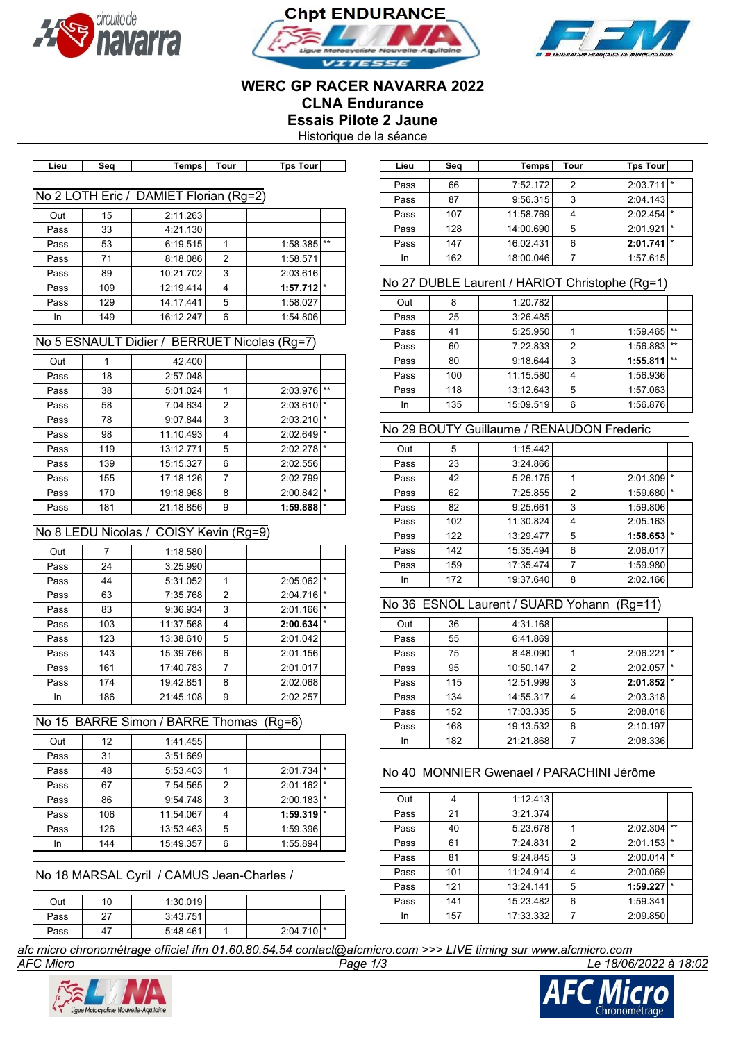





# **WERC GP RACER NAVARRA 2022 CLNA Endurance Essais Pilote 2 Jaune**

Historique de la séance

| -ieu | Sea | Temps I | ⊺our | <b>Tps</b><br>Tourl |  |
|------|-----|---------|------|---------------------|--|

### No 2 LOTH Eric / DAMIET Florian (Rg=2)

| 15  | 2:11.263  |   |                         |       |
|-----|-----------|---|-------------------------|-------|
| 33  | 4:21.130  |   |                         |       |
| 53  | 6:19.515  |   | 1:58.385                | $***$ |
| 71  | 8:18.086  | 2 | 1:58.571                |       |
| 89  |           | 3 | 2:03.616                |       |
| 109 | 12:19.414 | 4 | $1:57.712$ <sup>*</sup> |       |
| 129 | 14:17.441 | 5 | 1:58.027                |       |
| 149 | 16:12.247 | 6 | 1:54.806                |       |
|     |           |   | 10:21.702               |       |

#### No 5 ESNAULT Didier / BERRUET Nicolas (Rg=7)

| Out  |     | 42.400    |                |          |         |
|------|-----|-----------|----------------|----------|---------|
| Pass | 18  | 2:57.048  |                |          |         |
| Pass | 38  | 5:01.024  | 1              | 2:03.976 | $**$    |
| Pass | 58  | 7:04.634  | 2              | 2:03.610 | $\star$ |
| Pass | 78  | 9:07.844  | 3              | 2:03.210 | $\star$ |
| Pass | 98  | 11:10.493 | 4              | 2:02.649 | $\star$ |
| Pass | 119 | 13:12.771 | 5              | 2:02.278 | $\star$ |
| Pass | 139 | 15:15.327 | 6              | 2:02.556 |         |
| Pass | 155 | 17:18.126 | $\overline{7}$ | 2:02.799 |         |
| Pass | 170 | 19:18.968 | 8              | 2:00.842 | $\star$ |
| Pass | 181 | 21:18.856 | 9              | 1:59.888 | $\star$ |
|      |     |           |                |          |         |

# No 8 LEDU Nicolas / COISY Kevin (Rg=9)

| Out  | 7   | 1:18.580  |   |          |         |
|------|-----|-----------|---|----------|---------|
| Pass | 24  | 3:25.990  |   |          |         |
| Pass | 44  | 5:31.052  | 1 | 2:05.062 | ∣∗      |
| Pass | 63  | 7:35.768  | 2 | 2:04.716 | $\star$ |
| Pass | 83  | 9:36.934  | 3 | 2:01.166 | $\star$ |
| Pass | 103 | 11:37.568 | 4 | 2:00.634 | $\star$ |
| Pass | 123 | 13:38.610 | 5 | 2:01.042 |         |
| Pass | 143 | 15:39.766 | 6 | 2:01.156 |         |
| Pass | 161 | 17:40.783 | 7 | 2:01.017 |         |
| Pass | 174 | 19:42.851 | 8 | 2:02.068 |         |
| In   | 186 | 21:45.108 | 9 | 2:02.257 |         |

# No 15 BARRE Simon / BARRE Thomas (Rg=6)

| Out  | 12  | 1:41.455  |                |          |         |
|------|-----|-----------|----------------|----------|---------|
| Pass | 31  | 3:51.669  |                |          |         |
| Pass | 48  | 5:53.403  |                | 2:01.734 | $\star$ |
| Pass | 67  | 7:54.565  | $\overline{2}$ | 2:01.162 | $\star$ |
| Pass | 86  | 9:54.748  | 3              | 2:00.183 | $\star$ |
| Pass | 106 | 11:54.067 | 4              | 1:59.319 | $\star$ |
| Pass | 126 | 13:53.463 | 5              | 1:59.396 |         |
| In   | 144 | 15:49.357 | 6              | 1:55.894 |         |

No 18 MARSAL Cyril / CAMUS Jean-Charles /

| Out  | 10 | 1:30.019 |                         |  |
|------|----|----------|-------------------------|--|
| Pass | 27 | 3:43.751 |                         |  |
| Pass | 47 | 5:48.461 | $2:04.710$ <sup>*</sup> |  |

**Lieu Seq Temps Tour Tps Tour Lieu Seq Temps Tour Tps Tour** Pass 66 7:52.172 2 2:03.711 Pass 87 9:56.315 3 2:04.143 Pass 107 11:58.769 4 2:02.454 Pass 128 14:00.690 5 2:01.921 Pass 147 16:02.431 6 2:01.741

# No 27 DUBLE Laurent / HARIOT Christophe (Rg=1)

In 162 18:00.046 7 1:57.615

| Out  | 8   | 1:20.782  |   |          |       |
|------|-----|-----------|---|----------|-------|
| Pass | 25  | 3:26.485  |   |          |       |
| Pass | 41  | 5:25.950  |   | 1:59.465 | $***$ |
| Pass | 60  | 7:22.833  | 2 | 1:56.883 | $**$  |
| Pass | 80  | 9:18.644  | 3 | 1:55.811 | $**$  |
| Pass | 100 | 11:15.580 | 4 | 1:56.936 |       |
| Pass | 118 | 13:12.643 | 5 | 1:57.063 |       |
| In   | 135 | 15:09.519 | 6 | 1:56.876 |       |

# No 29 BOUTY Guillaume / RENAUDON Frederic

| Out  | 5   | 1:15.442  |                |          |         |
|------|-----|-----------|----------------|----------|---------|
| Pass | 23  | 3:24.866  |                |          |         |
| Pass | 42  | 5:26.175  | 1              | 2:01.309 | $\star$ |
| Pass | 62  | 7:25.855  | 2              | 1:59.680 | $\star$ |
| Pass | 82  | 9:25.661  | 3              | 1:59.806 |         |
| Pass | 102 | 11:30.824 | 4              | 2:05.163 |         |
| Pass | 122 | 13:29.477 | 5              | 1:58.653 | $\star$ |
| Pass | 142 | 15:35.494 | 6              | 2:06.017 |         |
| Pass | 159 | 17:35.474 | $\overline{7}$ | 1:59.980 |         |
| In   | 172 | 19:37.640 | 8              | 2:02.166 |         |

### No 36 ESNOL Laurent / SUARD Yohann (Rg=11)

| Out  | 36  | 4:31.168  |   |          |         |
|------|-----|-----------|---|----------|---------|
| Pass | 55  | 6:41.869  |   |          |         |
| Pass | 75  | 8:48.090  |   | 2:06.221 | $\star$ |
| Pass | 95  | 10:50.147 | 2 | 2:02.057 | $\star$ |
| Pass | 115 | 12:51.999 | 3 | 2:01.852 | $\star$ |
| Pass | 134 | 14:55.317 | 4 | 2:03.318 |         |
| Pass | 152 | 17:03.335 | 5 | 2:08.018 |         |
| Pass | 168 | 19:13.532 | 6 | 2:10.197 |         |
| In   | 182 | 21:21.868 | 7 | 2:08.336 |         |

#### No 40 MONNIER Gwenael / PARACHINI Jérôme

| Out  | 4   | 1:12.413  |   |          |         |
|------|-----|-----------|---|----------|---------|
| Pass | 21  | 3:21.374  |   |          |         |
| Pass | 40  | 5:23.678  |   | 2:02.304 | $**$    |
| Pass | 61  | 7:24.831  | 2 | 2:01.153 | $\star$ |
| Pass | 81  | 9:24.845  | 3 | 2:00.014 | $\star$ |
| Pass | 101 | 11:24.914 | 4 | 2:00.069 |         |
| Pass | 121 | 13:24.141 | 5 | 1:59.227 | l *     |
| Pass | 141 | 15:23.482 | 6 | 1:59.341 |         |
| In   | 157 | 17:33.332 | 7 | 2:09.850 |         |

*afc micro chronométrage officiel ffm 01.60.80.54.54 contact@afcmicro.com >>> LIVE timing sur www.afcmicro.com*



*AFC Micro Page 1/3 Le 18/06/2022 à 18:02*

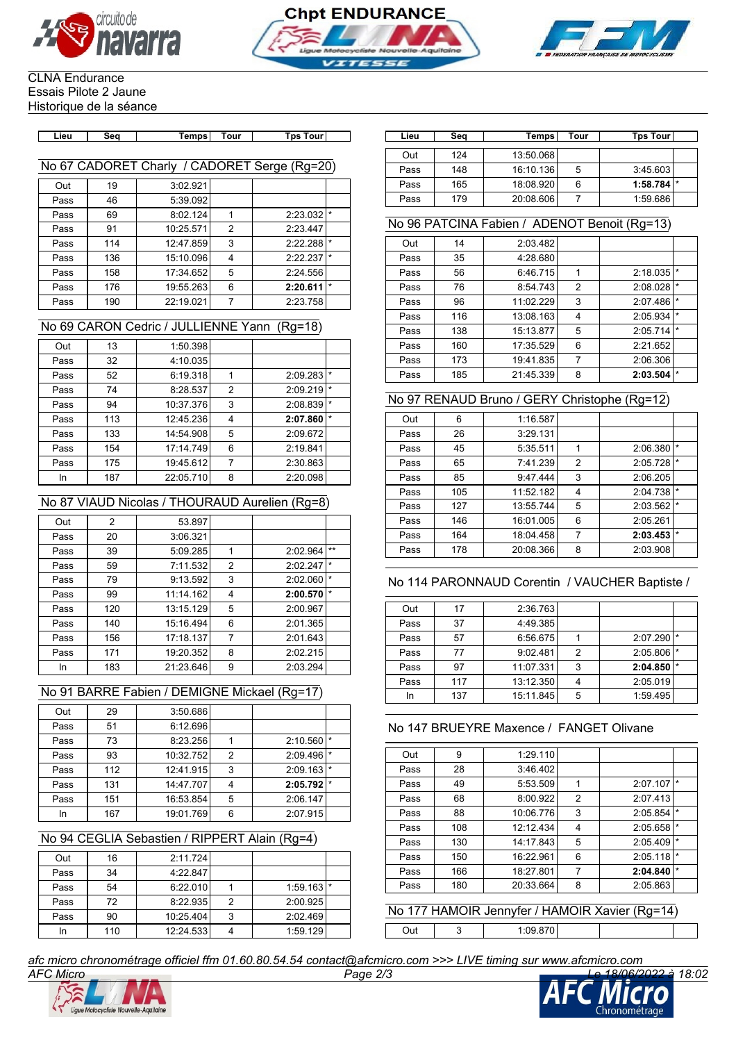





#### CLNA Endurance Essais Pilote 2 Jaune Historique de la séance

| Lieu | ۰۵۴ | ⊺our | Tne<br>Tour. |
|------|-----|------|--------------|
|      |     |      |              |

# No 67 CADORET Charly / CADORET Serge (Rg=20)

| Out  | 19  | 3:02.921  |                |          |         |
|------|-----|-----------|----------------|----------|---------|
| Pass | 46  | 5:39.092  |                |          |         |
| Pass | 69  | 8:02.124  | 1              | 2:23.032 | $\star$ |
| Pass | 91  | 10:25.571 | $\overline{2}$ | 2:23.447 |         |
| Pass | 114 | 12:47.859 | 3              | 2:22.288 | *       |
| Pass | 136 | 15:10.096 | 4              | 2:22.237 | $\star$ |
| Pass | 158 | 17:34.652 | 5              | 2:24.556 |         |
| Pass | 176 | 19:55.263 | 6              | 2:20.611 | $\star$ |
| Pass | 190 | 22:19.021 | 7              | 2:23.758 |         |

#### No 69 CARON Cedric / JULLIENNE Yann (Rg=18)

| Out  | 13  | 1:50.398  |                |          |         |
|------|-----|-----------|----------------|----------|---------|
| Pass | 32  | 4:10.035  |                |          |         |
| Pass | 52  | 6:19.318  | 1              | 2:09.283 | $\star$ |
| Pass | 74  | 8:28.537  | $\overline{2}$ | 2:09.219 | $\star$ |
| Pass | 94  | 10:37.376 | 3              | 2:08.839 | $\star$ |
| Pass | 113 | 12:45.236 | 4              | 2:07.860 | $\star$ |
| Pass | 133 | 14:54.908 | 5              | 2:09.672 |         |
| Pass | 154 | 17:14.749 | 6              | 2:19.841 |         |
| Pass | 175 | 19:45.612 | 7              | 2:30.863 |         |
| In   | 187 | 22:05.710 | 8              | 2:20.098 |         |

# No 87 VIAUD Nicolas / THOURAUD Aurelien (Rg=8)

| Out  | 2   | 53.897    |                |          |         |
|------|-----|-----------|----------------|----------|---------|
| Pass | 20  | 3:06.321  |                |          |         |
| Pass | 39  | 5:09.285  | 1              | 2:02.964 | $***$   |
| Pass | 59  | 7:11.532  | $\overline{2}$ | 2:02.247 | $\star$ |
| Pass | 79  | 9:13.592  | 3              | 2:02.060 | $\star$ |
| Pass | 99  | 11:14.162 | 4              | 2:00.570 | $\star$ |
| Pass | 120 | 13:15.129 | 5              | 2:00.967 |         |
| Pass | 140 | 15:16.494 | 6              | 2:01.365 |         |
| Pass | 156 | 17:18.137 | $\overline{7}$ | 2:01.643 |         |
| Pass | 171 | 19:20.352 | 8              | 2:02.215 |         |
| In   | 183 | 21:23.646 | 9              | 2:03.294 |         |

# No 91 BARRE Fabien / DEMIGNE Mickael (Rg=17)

| Out  | 29  | 3:50.686  |   |          |         |
|------|-----|-----------|---|----------|---------|
| Pass | 51  | 6:12.696  |   |          |         |
| Pass | 73  | 8:23.256  |   | 2:10.560 | $\star$ |
| Pass | 93  | 10:32.752 | 2 | 2:09.496 | $\star$ |
| Pass | 112 | 12:41.915 | 3 | 2:09.163 | $\star$ |
| Pass | 131 | 14:47.707 | 4 | 2:05.792 | $\star$ |
| Pass | 151 | 16:53.854 | 5 | 2:06.147 |         |
| In   | 167 | 19:01.769 | 6 | 2:07.915 |         |
|      |     |           |   |          |         |

# No 94 CEGLIA Sebastien / RIPPERT Alain (Rg=4)

| Out  | 16  | 2:11.724  |   |                         |  |
|------|-----|-----------|---|-------------------------|--|
| Pass | 34  | 4:22.847  |   |                         |  |
| Pass | 54  | 6:22.010  |   | $1:59.163$ <sup>*</sup> |  |
| Pass | 72  | 8:22.935  | 2 | 2:00.925                |  |
| Pass | 90  | 10:25.404 | 3 | 2:02.469                |  |
| In   | 110 | 12:24.533 |   | 1:59.129                |  |

| 13:50.068<br>124<br>Out                                                    |   |                         |
|----------------------------------------------------------------------------|---|-------------------------|
| ا 67 CADORET Charly<br>/ CADORET Serge (Rg=20)<br>Pass<br>16:10.136<br>148 | 5 | 3:45.603                |
| Pass<br>18:08.920<br>165<br>19<br>3:02.921<br>Out                          | 6 | $1:58.784$ <sup>*</sup> |
| Pass<br>179<br>20:08.606<br>5:39.092<br>46<br>Pass                         |   | 1:59.686                |

# No 96 PATCINA Fabien / ADENOT Benoit (Rg=13)

| Out  | 14  | 2:03.482  |                |          |         |
|------|-----|-----------|----------------|----------|---------|
| Pass | 35  | 4:28.680  |                |          |         |
| Pass | 56  | 6:46.715  | 1              | 2:18.035 | $\star$ |
| Pass | 76  | 8:54.743  | $\overline{2}$ | 2:08.028 | $\star$ |
| Pass | 96  | 11:02.229 | 3              | 2:07.486 | $\star$ |
| Pass | 116 | 13:08.163 | 4              | 2:05.934 | $\star$ |
| Pass | 138 | 15:13.877 | 5              | 2:05.714 | $\star$ |
| Pass | 160 | 17:35.529 | 6              | 2:21.652 |         |
| Pass | 173 | 19:41.835 | 7              | 2:06.306 |         |
| Pass | 185 | 21:45.339 | 8              | 2:03.504 | $\star$ |

# No 97 RENAUD Bruno / GERY Christophe (Rg=12)

| Out  | 6   | 1:16.587  |   |          |         |
|------|-----|-----------|---|----------|---------|
| Pass | 26  | 3:29.131  |   |          |         |
| Pass | 45  | 5:35.511  | 1 | 2:06.380 | $\star$ |
| Pass | 65  | 7:41.239  | 2 | 2:05.728 | $\star$ |
| Pass | 85  | 9:47.444  | 3 | 2:06.205 |         |
| Pass | 105 | 11:52.182 | 4 | 2:04.738 | *       |
| Pass | 127 | 13:55.744 | 5 | 2:03.562 | $\star$ |
| Pass | 146 | 16:01.005 | 6 | 2:05.261 |         |
| Pass | 164 | 18:04.458 | 7 | 2:03.453 | $\star$ |
| Pass | 178 | 20:08.366 | 8 | 2:03.908 |         |

# No 114 PARONNAUD Corentin / VAUCHER Baptiste /

| Out  | 17  | 2:36.763  |   |          |  |
|------|-----|-----------|---|----------|--|
| Pass | 37  | 4:49.385  |   |          |  |
| Pass | 57  | 6:56.675  |   | 2:07.290 |  |
| Pass | 77  | 9:02.481  | 2 | 2:05.806 |  |
| Pass | 97  | 11:07.331 | 3 | 2:04.850 |  |
| Pass | 117 | 13:12.350 |   | 2:05.019 |  |
| In   | 137 | 15:11.845 | 5 | 1:59.495 |  |

# No 147 BRUEYRE Maxence / FANGET Olivane

| Out  | 9   | 1:29.110  |                |          |         |
|------|-----|-----------|----------------|----------|---------|
| Pass | 28  | 3:46.402  |                |          |         |
| Pass | 49  | 5:53.509  | 1              | 2:07.107 | $\star$ |
| Pass | 68  | 8:00.922  | $\overline{2}$ | 2:07.413 |         |
| Pass | 88  | 10:06.776 | 3              | 2:05.854 | $\star$ |
| Pass | 108 | 12:12.434 | 4              | 2:05.658 | $\star$ |
| Pass | 130 | 14:17.843 | 5              | 2:05.409 | $\star$ |
| Pass | 150 | 16:22.961 | 6              | 2:05.118 | $\star$ |
| Pass | 166 | 18:27.801 | 7              | 2:04.840 | $\star$ |
| Pass | 180 | 20:33.664 | 8              | 2:05.863 |         |

No 177 HAMOIR Jennyfer / HAMOIR Xavier (Rg=14)

Out 3 1:09.870

*afc micro chronométrage officiel ffm 01.60.80.54.54 contact@afcmicro.com >>> LIVE timing sur www.afcmicro.com*